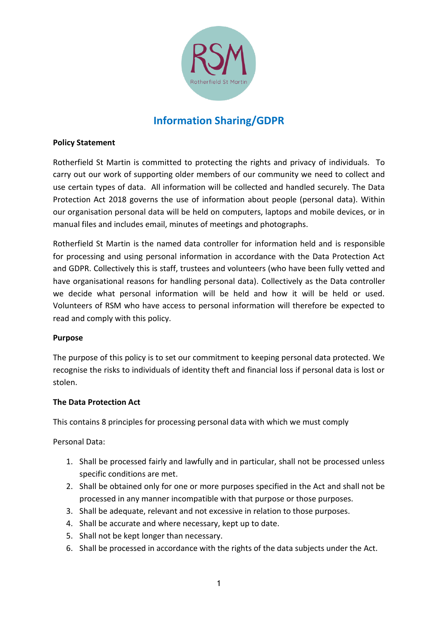

# **Information Sharing/GDPR**

#### **Policy Statement**

Rotherfield St Martin is committed to protecting the rights and privacy of individuals. To carry out our work of supporting older members of our community we need to collect and use certain types of data. All information will be collected and handled securely. The Data Protection Act 2018 governs the use of information about people (personal data). Within our organisation personal data will be held on computers, laptops and mobile devices, or in manual files and includes email, minutes of meetings and photographs.

Rotherfield St Martin is the named data controller for information held and is responsible for processing and using personal information in accordance with the Data Protection Act and GDPR. Collectively this is staff, trustees and volunteers (who have been fully vetted and have organisational reasons for handling personal data). Collectively as the Data controller we decide what personal information will be held and how it will be held or used. Volunteers of RSM who have access to personal information will therefore be expected to read and comply with this policy.

#### **Purpose**

The purpose of this policy is to set our commitment to keeping personal data protected. We recognise the risks to individuals of identity theft and financial loss if personal data is lost or stolen.

## **The Data Protection Act**

This contains 8 principles for processing personal data with which we must comply

Personal Data:

- 1. Shall be processed fairly and lawfully and in particular, shall not be processed unless specific conditions are met.
- 2. Shall be obtained only for one or more purposes specified in the Act and shall not be processed in any manner incompatible with that purpose or those purposes.
- 3. Shall be adequate, relevant and not excessive in relation to those purposes.
- 4. Shall be accurate and where necessary, kept up to date.
- 5. Shall not be kept longer than necessary.
- 6. Shall be processed in accordance with the rights of the data subjects under the Act.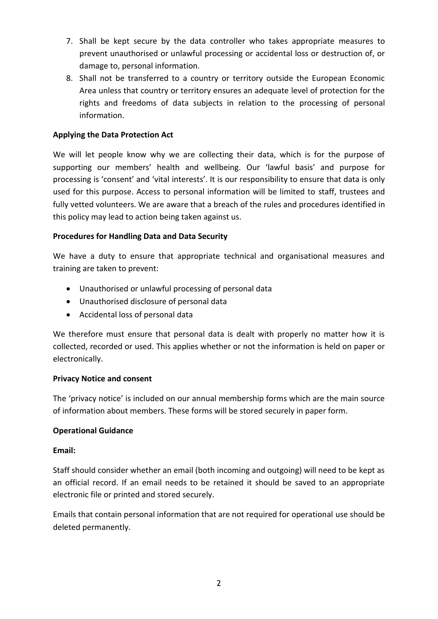- 7. Shall be kept secure by the data controller who takes appropriate measures to prevent unauthorised or unlawful processing or accidental loss or destruction of, or damage to, personal information.
- 8. Shall not be transferred to a country or territory outside the European Economic Area unless that country or territory ensures an adequate level of protection for the rights and freedoms of data subjects in relation to the processing of personal information.

## **Applying the Data Protection Act**

We will let people know why we are collecting their data, which is for the purpose of supporting our members' health and wellbeing. Our 'lawful basis' and purpose for processing is 'consent' and 'vital interests'. It is our responsibility to ensure that data is only used for this purpose. Access to personal information will be limited to staff, trustees and fully vetted volunteers. We are aware that a breach of the rules and procedures identified in this policy may lead to action being taken against us.

# **Procedures for Handling Data and Data Security**

We have a duty to ensure that appropriate technical and organisational measures and training are taken to prevent:

- Unauthorised or unlawful processing of personal data
- Unauthorised disclosure of personal data
- Accidental loss of personal data

We therefore must ensure that personal data is dealt with properly no matter how it is collected, recorded or used. This applies whether or not the information is held on paper or electronically.

## **Privacy Notice and consent**

The 'privacy notice' is included on our annual membership forms which are the main source of information about members. These forms will be stored securely in paper form.

## **Operational Guidance**

## **Email:**

Staff should consider whether an email (both incoming and outgoing) will need to be kept as an official record. If an email needs to be retained it should be saved to an appropriate electronic file or printed and stored securely.

Emails that contain personal information that are not required for operational use should be deleted permanently.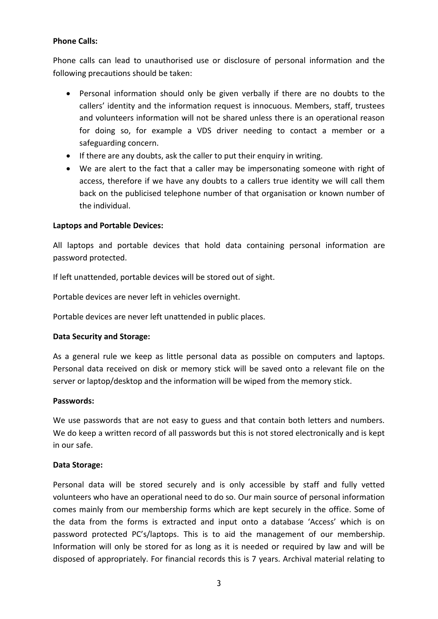#### **Phone Calls:**

Phone calls can lead to unauthorised use or disclosure of personal information and the following precautions should be taken:

- Personal information should only be given verbally if there are no doubts to the callers' identity and the information request is innocuous. Members, staff, trustees and volunteers information will not be shared unless there is an operational reason for doing so, for example a VDS driver needing to contact a member or a safeguarding concern.
- If there are any doubts, ask the caller to put their enquiry in writing.
- We are alert to the fact that a caller may be impersonating someone with right of access, therefore if we have any doubts to a callers true identity we will call them back on the publicised telephone number of that organisation or known number of the individual.

#### **Laptops and Portable Devices:**

All laptops and portable devices that hold data containing personal information are password protected.

If left unattended, portable devices will be stored out of sight.

Portable devices are never left in vehicles overnight.

Portable devices are never left unattended in public places.

#### **Data Security and Storage:**

As a general rule we keep as little personal data as possible on computers and laptops. Personal data received on disk or memory stick will be saved onto a relevant file on the server or laptop/desktop and the information will be wiped from the memory stick.

#### **Passwords:**

We use passwords that are not easy to guess and that contain both letters and numbers. We do keep a written record of all passwords but this is not stored electronically and is kept in our safe.

#### **Data Storage:**

Personal data will be stored securely and is only accessible by staff and fully vetted volunteers who have an operational need to do so. Our main source of personal information comes mainly from our membership forms which are kept securely in the office. Some of the data from the forms is extracted and input onto a database 'Access' which is on password protected PC's/laptops. This is to aid the management of our membership. Information will only be stored for as long as it is needed or required by law and will be disposed of appropriately. For financial records this is 7 years. Archival material relating to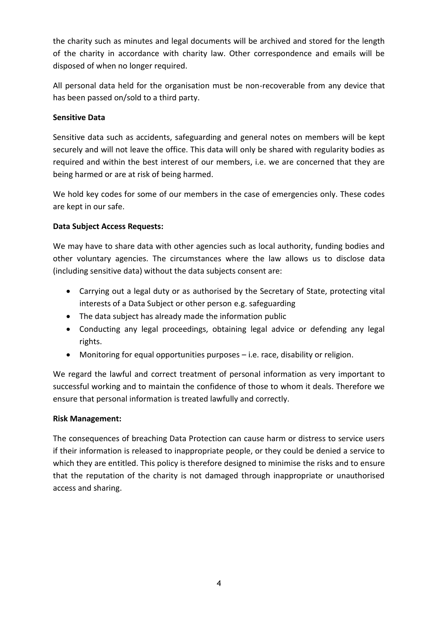the charity such as minutes and legal documents will be archived and stored for the length of the charity in accordance with charity law. Other correspondence and emails will be disposed of when no longer required.

All personal data held for the organisation must be non-recoverable from any device that has been passed on/sold to a third party.

## **Sensitive Data**

Sensitive data such as accidents, safeguarding and general notes on members will be kept securely and will not leave the office. This data will only be shared with regularity bodies as required and within the best interest of our members, i.e. we are concerned that they are being harmed or are at risk of being harmed.

We hold key codes for some of our members in the case of emergencies only. These codes are kept in our safe.

# **Data Subject Access Requests:**

We may have to share data with other agencies such as local authority, funding bodies and other voluntary agencies. The circumstances where the law allows us to disclose data (including sensitive data) without the data subjects consent are:

- Carrying out a legal duty or as authorised by the Secretary of State, protecting vital interests of a Data Subject or other person e.g. safeguarding
- The data subject has already made the information public
- Conducting any legal proceedings, obtaining legal advice or defending any legal rights.
- Monitoring for equal opportunities purposes i.e. race, disability or religion.

We regard the lawful and correct treatment of personal information as very important to successful working and to maintain the confidence of those to whom it deals. Therefore we ensure that personal information is treated lawfully and correctly.

## **Risk Management:**

The consequences of breaching Data Protection can cause harm or distress to service users if their information is released to inappropriate people, or they could be denied a service to which they are entitled. This policy is therefore designed to minimise the risks and to ensure that the reputation of the charity is not damaged through inappropriate or unauthorised access and sharing.